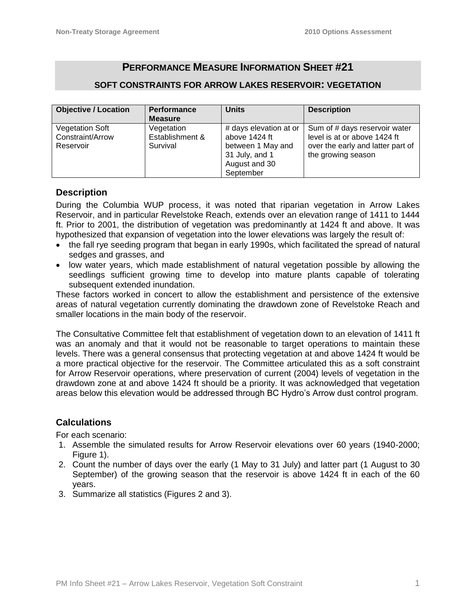# **PERFORMANCE MEASURE INFORMATION SHEET #21**

#### **SOFT CONSTRAINTS FOR ARROW LAKES RESERVOIR: VEGETATION**

| <b>Objective / Location</b> | <b>Performance</b> | <b>Units</b>           | <b>Description</b>                |  |
|-----------------------------|--------------------|------------------------|-----------------------------------|--|
|                             | <b>Measure</b>     |                        |                                   |  |
| <b>Vegetation Soft</b>      | Vegetation         | # days elevation at or | Sum of # days reservoir water     |  |
| Constraint/Arrow            | Establishment &    | above 1424 ft          | level is at or above 1424 ft      |  |
| Reservoir                   | Survival           | between 1 May and      | over the early and latter part of |  |
|                             |                    | 31 July, and 1         | the growing season                |  |
|                             |                    | August and 30          |                                   |  |
|                             |                    | September              |                                   |  |

#### **Description**

During the Columbia WUP process, it was noted that riparian vegetation in Arrow Lakes Reservoir, and in particular Revelstoke Reach, extends over an elevation range of 1411 to 1444 ft. Prior to 2001, the distribution of vegetation was predominantly at 1424 ft and above. It was hypothesized that expansion of vegetation into the lower elevations was largely the result of:

- the fall rye seeding program that began in early 1990s, which facilitated the spread of natural sedges and grasses, and
- low water years, which made establishment of natural vegetation possible by allowing the seedlings sufficient growing time to develop into mature plants capable of tolerating subsequent extended inundation.

These factors worked in concert to allow the establishment and persistence of the extensive areas of natural vegetation currently dominating the drawdown zone of Revelstoke Reach and smaller locations in the main body of the reservoir.

The Consultative Committee felt that establishment of vegetation down to an elevation of 1411 ft was an anomaly and that it would not be reasonable to target operations to maintain these levels. There was a general consensus that protecting vegetation at and above 1424 ft would be a more practical objective for the reservoir. The Committee articulated this as a soft constraint for Arrow Reservoir operations, where preservation of current (2004) levels of vegetation in the drawdown zone at and above 1424 ft should be a priority. It was acknowledged that vegetation areas below this elevation would be addressed through BC Hydro's Arrow dust control program.

#### **Calculations**

For each scenario:

- 1. Assemble the simulated results for Arrow Reservoir elevations over 60 years (1940-2000; Figure 1).
- 2. Count the number of days over the early (1 May to 31 July) and latter part (1 August to 30 September) of the growing season that the reservoir is above 1424 ft in each of the 60 years.
- 3. Summarize all statistics (Figures 2 and 3).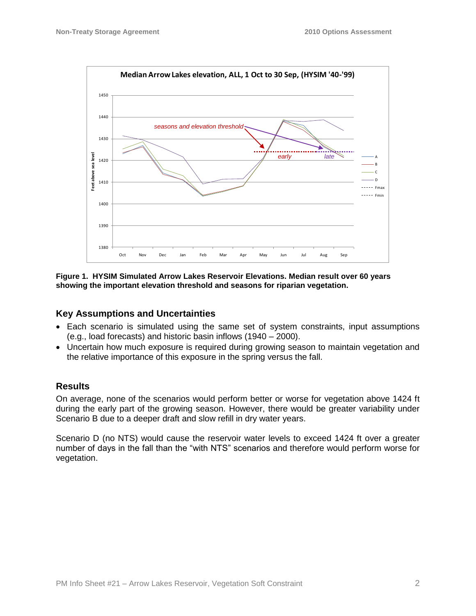

**Figure 1. HYSIM Simulated Arrow Lakes Reservoir Elevations. Median result over 60 years showing the important elevation threshold and seasons for riparian vegetation.**

## **Key Assumptions and Uncertainties**

- Each scenario is simulated using the same set of system constraints, input assumptions (e.g., load forecasts) and historic basin inflows (1940 – 2000).
- Uncertain how much exposure is required during growing season to maintain vegetation and the relative importance of this exposure in the spring versus the fall.

#### **Results**

On average, none of the scenarios would perform better or worse for vegetation above 1424 ft during the early part of the growing season. However, there would be greater variability under Scenario B due to a deeper draft and slow refill in dry water years.

Scenario D (no NTS) would cause the reservoir water levels to exceed 1424 ft over a greater number of days in the fall than the "with NTS" scenarios and therefore would perform worse for vegetation.